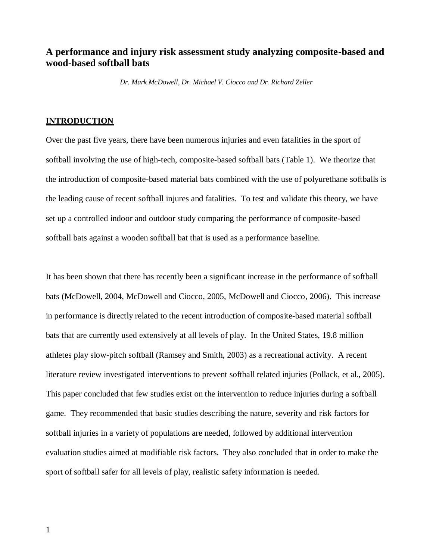# **A performance and injury risk assessment study analyzing composite-based and wood-based softball bats**

*Dr. Mark McDowell, Dr. Michael V. Ciocco and Dr. Richard Zeller*

### **INTRODUCTION**

Over the past five years, there have been numerous injuries and even fatalities in the sport of softball involving the use of high-tech, composite-based softball bats (Table 1). We theorize that the introduction of composite-based material bats combined with the use of polyurethane softballs is the leading cause of recent softball injures and fatalities. To test and validate this theory, we have set up a controlled indoor and outdoor study comparing the performance of composite-based softball bats against a wooden softball bat that is used as a performance baseline.

It has been shown that there has recently been a significant increase in the performance of softball bats (McDowell, 2004, McDowell and Ciocco, 2005, McDowell and Ciocco, 2006). This increase in performance is directly related to the recent introduction of composite-based material softball bats that are currently used extensively at all levels of play. In the United States, 19.8 million athletes play slow-pitch softball (Ramsey and Smith, 2003) as a recreational activity. A recent literature review investigated interventions to prevent softball related injuries (Pollack, et al., 2005). This paper concluded that few studies exist on the intervention to reduce injuries during a softball game. They recommended that basic studies describing the nature, severity and risk factors for softball injuries in a variety of populations are needed, followed by additional intervention evaluation studies aimed at modifiable risk factors. They also concluded that in order to make the sport of softball safer for all levels of play, realistic safety information is needed.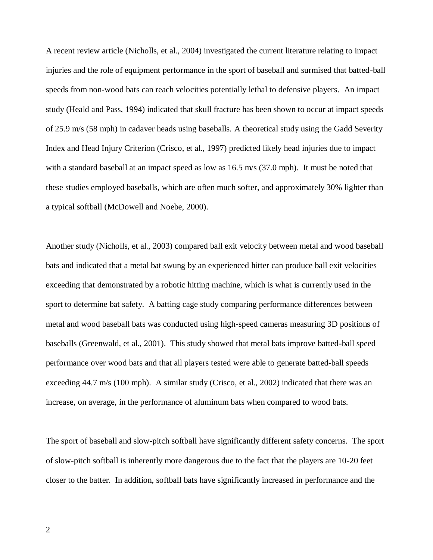A recent review article (Nicholls, et al., 2004) investigated the current literature relating to impact injuries and the role of equipment performance in the sport of baseball and surmised that batted-ball speeds from non-wood bats can reach velocities potentially lethal to defensive players. An impact study (Heald and Pass, 1994) indicated that skull fracture has been shown to occur at impact speeds of 25.9 m/s (58 mph) in cadaver heads using baseballs. A theoretical study using the Gadd Severity Index and Head Injury Criterion (Crisco, et al., 1997) predicted likely head injuries due to impact with a standard baseball at an impact speed as low as 16.5 m/s (37.0 mph). It must be noted that these studies employed baseballs, which are often much softer, and approximately 30% lighter than a typical softball (McDowell and Noebe, 2000).

Another study (Nicholls, et al., 2003) compared ball exit velocity between metal and wood baseball bats and indicated that a metal bat swung by an experienced hitter can produce ball exit velocities exceeding that demonstrated by a robotic hitting machine, which is what is currently used in the sport to determine bat safety. A batting cage study comparing performance differences between metal and wood baseball bats was conducted using high-speed cameras measuring 3D positions of baseballs (Greenwald, et al., 2001). This study showed that metal bats improve batted-ball speed performance over wood bats and that all players tested were able to generate batted-ball speeds exceeding 44.7 m/s (100 mph). A similar study (Crisco, et al., 2002) indicated that there was an increase, on average, in the performance of aluminum bats when compared to wood bats.

The sport of baseball and slow-pitch softball have significantly different safety concerns. The sport of slow-pitch softball is inherently more dangerous due to the fact that the players are 10-20 feet closer to the batter. In addition, softball bats have significantly increased in performance and the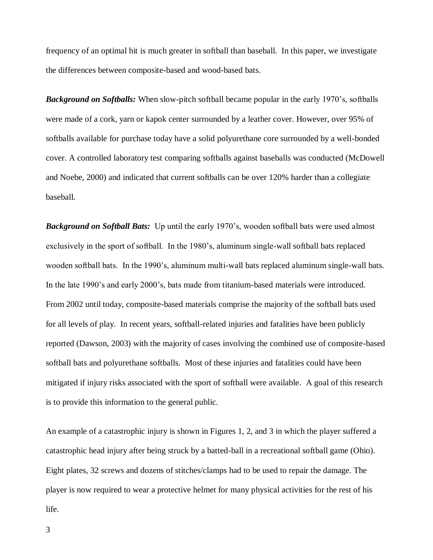frequency of an optimal hit is much greater in softball than baseball. In this paper, we investigate the differences between composite-based and wood-based bats.

*Background on Softballs:* When slow-pitch softball became popular in the early 1970's, softballs were made of a cork, yarn or kapok center surrounded by a leather cover. However, over 95% of softballs available for purchase today have a solid polyurethane core surrounded by a well-bonded cover. A controlled laboratory test comparing softballs against baseballs was conducted (McDowell and Noebe, 2000) and indicated that current softballs can be over 120% harder than a collegiate baseball.

*Background on Softball Bats:* Up until the early 1970's, wooden softball bats were used almost exclusively in the sport of softball. In the 1980's, aluminum single-wall softball bats replaced wooden softball bats. In the 1990's, aluminum multi-wall bats replaced aluminum single-wall bats. In the late 1990's and early 2000's, bats made from titanium-based materials were introduced. From 2002 until today, composite-based materials comprise the majority of the softball bats used for all levels of play. In recent years, softball-related injuries and fatalities have been publicly reported (Dawson, 2003) with the majority of cases involving the combined use of composite-based softball bats and polyurethane softballs. Most of these injuries and fatalities could have been mitigated if injury risks associated with the sport of softball were available. A goal of this research is to provide this information to the general public.

An example of a catastrophic injury is shown in Figures 1, 2, and 3 in which the player suffered a catastrophic head injury after being struck by a batted-ball in a recreational softball game (Ohio). Eight plates, 32 screws and dozens of stitches/clamps had to be used to repair the damage. The player is now required to wear a protective helmet for many physical activities for the rest of his life.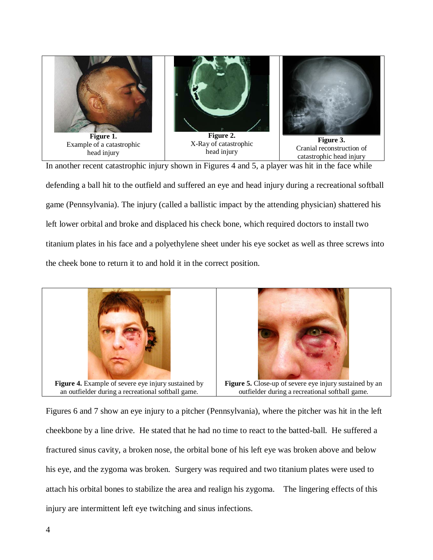

In another recent catastrophic injury shown in Figures 4 and 5, a player was hit in the face while defending a ball hit to the outfield and suffered an eye and head injury during a recreational softball game (Pennsylvania). The injury (called a ballistic impact by the attending physician) shattered his left lower orbital and broke and displaced his check bone, which required doctors to install two titanium plates in his face and a polyethylene sheet under his eye socket as well as three screws into the cheek bone to return it to and hold it in the correct position.



Figures 6 and 7 show an eye injury to a pitcher (Pennsylvania), where the pitcher was hit in the left cheekbone by a line drive. He stated that he had no time to react to the batted-ball. He suffered a fractured sinus cavity, a broken nose, the orbital bone of his left eye was broken above and below his eye, and the zygoma was broken. Surgery was required and two titanium plates were used to attach his orbital bones to stabilize the area and realign his zygoma. The lingering effects of this injury are intermittent left eye twitching and sinus infections.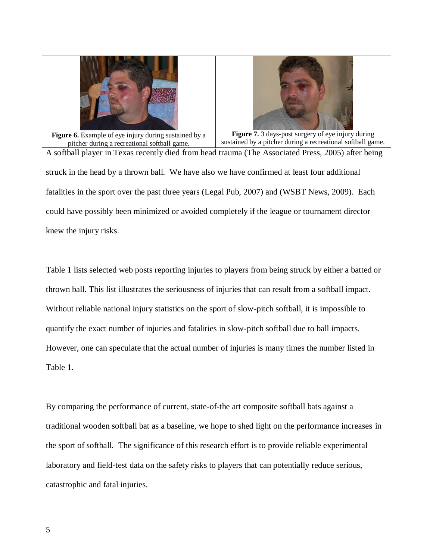



Figure 6. Example of eye injury during sustained by a pitcher during a recreational softball game.

**Figure 7.** 3 days-post surgery of eye injury during sustained by a pitcher during a recreational softball game.

A softball player in Texas recently died from head trauma (The Associated Press, 2005) after being struck in the head by a thrown ball. We have also we have confirmed at least four additional fatalities in the sport over the past three years (Legal Pub, 2007) and (WSBT News, 2009). Each could have possibly been minimized or avoided completely if the league or tournament director knew the injury risks.

Table 1 lists selected web posts reporting injuries to players from being struck by either a batted or thrown ball. This list illustrates the seriousness of injuries that can result from a softball impact. Without reliable national injury statistics on the sport of slow-pitch softball, it is impossible to quantify the exact number of injuries and fatalities in slow-pitch softball due to ball impacts. However, one can speculate that the actual number of injuries is many times the number listed in Table 1.

By comparing the performance of current, state-of-the art composite softball bats against a traditional wooden softball bat as a baseline, we hope to shed light on the performance increases in the sport of softball. The significance of this research effort is to provide reliable experimental laboratory and field-test data on the safety risks to players that can potentially reduce serious, catastrophic and fatal injuries.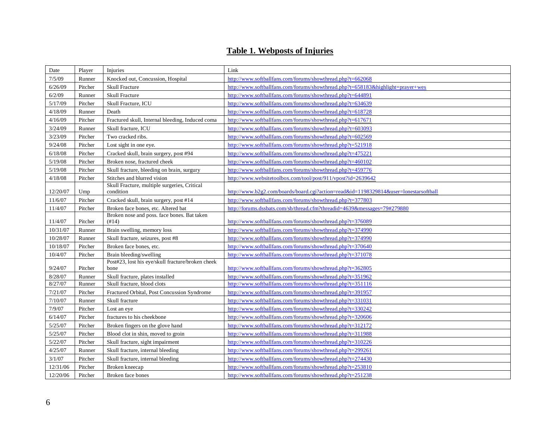# **Table 1. Webposts of Injuries**

| Date     | Player  | Injuries                                             | Link                                                                                 |
|----------|---------|------------------------------------------------------|--------------------------------------------------------------------------------------|
| 7/5/09   | Runner  | Knocked out, Concussion, Hospital                    | http://www.softballfans.com/forums/showthread.php?t=662068                           |
| 6/26/09  | Pitcher | <b>Skull Fracture</b>                                | http://www.softballfans.com/forums/showthread.php?t=658183&highlight=prayer+wes      |
| 6/2/09   | Runner  | <b>Skull Fracture</b>                                | http://www.softballfans.com/forums/showthread.php?t=644891                           |
| 5/17/09  | Pitcher | Skull Fracture, ICU                                  | http://www.softballfans.com/forums/showthread.php?t=634639                           |
| 4/18/09  | Runner  | Death                                                | http://www.softballfans.com/forums/showthread.php?t=618728                           |
| 4/16/09  | Pitcher | Fractured skull, Internal bleeding, Induced coma     | http://www.softballfans.com/forums/showthread.php?t=617671                           |
| 3/24/09  | Runner  | Skull fracture, ICU                                  | http://www.softballfans.com/forums/showthread.php?t=603093                           |
| 3/23/09  | Pitcher | Two cracked ribs.                                    | http://www.softballfans.com/forums/showthread.php?t=602569                           |
| 9/24/08  | Pitcher | Lost sight in one eye.                               | http://www.softballfans.com/forums/showthread.php?t=521918                           |
| 6/18/08  | Pitcher | Cracked skull, brain surgery, post #94               | http://www.softballfans.com/forums/showthread.php?t=475221                           |
| 5/19/08  | Pitcher | Broken nose, fractured cheek                         | http://www.softballfans.com/forums/showthread.php?t=460102                           |
| 5/19/08  | Pitcher | Skull fracture, bleeding on brain, surgury           | http://www.softballfans.com/forums/showthread.php?t=459776                           |
| 4/18/08  | Pitcher | Stitches and blurred vision                          | http://www.websitetoolbox.com/tool/post/911/vpost?id=2639642                         |
|          |         | Skull Fracture, multiple surgeries, Critical         |                                                                                      |
| 12/20/07 | Ump     | condition                                            | http://www.b2g2.com/boards/board.cgi?action=read&id=1198329814&user=lonestarsoftball |
| 11/6/07  | Pitcher | Cracked skull, brain surgery, post #14               | http://www.softballfans.com/forums/showthread.php?t=377803                           |
| 11/4/07  | Pitcher | Broken face bones, etc. Altered bat                  | http://forums.dssbats.com/sb/thread.cfm?threadid=4639&messages=79#279880             |
| 11/4/07  | Pitcher | Broken nose and poss. face bones. Bat taken<br>(#14) | http://www.softballfans.com/forums/showthread.php?t=376089                           |
| 10/31/07 | Runner  | Brain swelling, memory loss                          | http://www.softballfans.com/forums/showthread.php?t=374990                           |
| 10/28/07 | Runner  | Skull fracture, seizures, post #8                    | http://www.softballfans.com/forums/showthread.php?t=374990                           |
| 10/18/07 | Pitcher | Broken face bones, etc.                              | http://www.softballfans.com/forums/showthread.php?t=370640                           |
| 10/4/07  | Pitcher | Brain bleeding/swelling                              | http://www.softballfans.com/forums/showthread.php?t=371078                           |
|          |         | Post#23, lost his eye/skull fracture/broken cheek    |                                                                                      |
| 9/24/07  | Pitcher | bone                                                 | http://www.softballfans.com/forums/showthread.php?t=362805                           |
| 8/28/07  | Runner  | Skull fracture, plates installed                     | http://www.softballfans.com/forums/showthread.php?t=351962                           |
| 8/27/07  | Runner  | Skull fracture, blood clots                          | http://www.softballfans.com/forums/showthread.php?t=351116                           |
| 7/21/07  | Pitcher | Fractured Orbital, Post Concussion Syndrome          | http://www.softballfans.com/forums/showthread.php?t=391957                           |
| 7/10/07  | Runner  | Skull fracture                                       | http://www.softballfans.com/forums/showthread.php?t=331031                           |
| 7/9/07   | Pitcher | Lost an eye                                          | http://www.softballfans.com/forums/showthread.php?t=330242                           |
| 6/14/07  | Pitcher | fractures to his cheekbone                           | http://www.softballfans.com/forums/showthread.php?t=320606                           |
| 5/25/07  | Pitcher | Broken fingers on the glove hand                     | http://www.softballfans.com/forums/showthread.php?t=312172                           |
| 5/25/07  | Pitcher | Blood clot in shin, moved to groin                   | http://www.softballfans.com/forums/showthread.php?t=311988                           |
| 5/22/07  | Pitcher | Skull fracture, sight impairment                     | http://www.softballfans.com/forums/showthread.php?t=310226                           |
| 4/25/07  | Runner  | Skull fracture, internal bleeding                    | http://www.softballfans.com/forums/showthread.php?t=299261                           |
| 3/1/07   | Pitcher | Skull fracture, internal bleeding                    | http://www.softballfans.com/forums/showthread.php?t=274430                           |
| 12/31/06 | Pitcher | Broken kneecap                                       | http://www.softballfans.com/forums/showthread.php?t=253810                           |
| 12/20/06 | Pitcher | Broken face bones                                    | http://www.softballfans.com/forums/showthread.php?t=251238                           |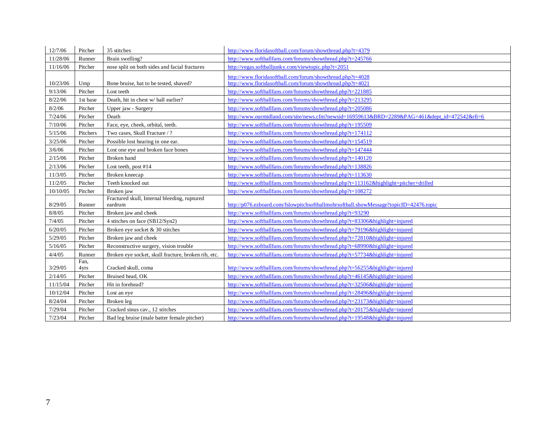| 12/7/06           | Pitcher           | 35 stitches                                         | http://www.floridasoftball.com/forum/showthread.php?t=4379                                                                                          |
|-------------------|-------------------|-----------------------------------------------------|-----------------------------------------------------------------------------------------------------------------------------------------------------|
| 11/28/06          | Runner            | Brain swelling?                                     | http://www.softballfans.com/forums/showthread.php?t=245766                                                                                          |
| 11/16/06          | Pitcher           | nose split on both sides and facial fractures       | http://vegas.softballjunky.com/viewtopic.php?t=2051                                                                                                 |
|                   |                   |                                                     | http://www.floridasoftball.com/forum/showthread.php?t=4028                                                                                          |
| 10/23/06          | Ump               | Bone bruise, bat to be tested, shaved?              | http://www.floridasoftball.com/forum/showthread.php?t=4021                                                                                          |
| 9/13/06           | Pitcher           | Lost teeth                                          | http://www.softballfans.com/forums/showthread.php?t=221885                                                                                          |
| 8/22/06           | 1st base          | Death, hit in chest w/ ball earlier?                | http://www.softballfans.com/forums/showthread.php?t=213295                                                                                          |
| 8/2/06            | Pitcher           | Upper jaw - Surgery                                 | http://www.softballfans.com/forums/showthread.php?t=205086                                                                                          |
| 7/24/06           | Pitcher           | Death                                               | http://www.ourmidland.com/site/news.cfm?newsid=16959613&BRD=2289&PAG=461&dept_id=472542&rfi=6                                                       |
| 7/10/06           | Pitcher           | Face, eye, cheek, orbital, teeth.                   | http://www.softballfans.com/forums/showthread.php?t=195509                                                                                          |
| 5/15/06           | Pitchers          | Two cases, Skull Fracture / ?                       | http://www.softballfans.com/forums/showthread.php?t=174112                                                                                          |
| 3/25/06           | Pitcher           | Possible lost hearing in one ear.                   | http://www.softballfans.com/forums/showthread.php?t=154519                                                                                          |
| 3/6/06            | Pitcher           | Lost one eye and broken face bones                  | http://www.softballfans.com/forums/showthread.php?t=147444                                                                                          |
| 2/15/06           | Pitcher           | Broken hand                                         | http://www.softballfans.com/forums/showthread.php?t=140120                                                                                          |
| 2/13/06           | Pitcher           | Lost teeth, post #14                                | http://www.softballfans.com/forums/showthread.php?t=138826                                                                                          |
| 11/3/05           | Pitcher           | Broken kneecap                                      | http://www.softballfans.com/forums/showthread.php?t=113630                                                                                          |
| 11/2/05           | Pitcher           | Teeth knocked out                                   | http://www.softballfans.com/forums/showthread.php?t=113162&highlight=pitcher+drilled                                                                |
| 10/10/05          | Pitcher           | Broken jaw                                          | http://www.softballfans.com/forums/showthread.php?t=108272                                                                                          |
|                   |                   | Fractured skull, Internal bleeding, ruptured        |                                                                                                                                                     |
| 8/29/05<br>8/8/05 | Runner<br>Pitcher | eardrum<br>Broken jaw and cheek                     | http://p076.ezboard.com/fslowpitchsoftballmohrsoftball.showMessage?topicID=42476.topic<br>http://www.softballfans.com/forums/showthread.php?t=93290 |
|                   | Pitcher           |                                                     |                                                                                                                                                     |
| 7/4/05            |                   | 4 stitches on face (SB12/Syn2)                      | http://www.softballfans.com/forums/showthread.php?t=83306&highlight=injured                                                                         |
| 6/20/05           | Pitcher           | Broken eye socket & 30 stitches                     | http://www.softballfans.com/forums/showthread.php?t=79196&highlight=injured                                                                         |
| 5/29/05           | Pitcher           | Broken jaw and cheek                                | http://www.softballfans.com/forums/showthread.php?t=72810&highlight=injured                                                                         |
| 5/16/05<br>4/4/05 | Pitcher           | Reconstructive surgery, vision trouble              | http://www.softballfans.com/forums/showthread.php?t=68990&highlight=injured                                                                         |
|                   | Runner<br>Fan.    | Broken eye socket, skull fracture, broken rib, etc. | http://www.softballfans.com/forums/showthread.php?t=57734&highlight=injured                                                                         |
| 3/29/05           | 4yrs              | Cracked skull, coma                                 | http://www.softballfans.com/forums/showthread.php?t=56255&highlight=injured                                                                         |
| 2/14/05           | Pitcher           | Bruised head, OK                                    | http://www.softballfans.com/forums/showthread.php?t=46145&highlight=injured                                                                         |
| 11/15/04          | Pitcher           | Hit in forehead?                                    | http://www.softballfans.com/forums/showthread.php?t=32506&highlight=injured                                                                         |
| 10/12/04          | Pitcher           | Lost an eye                                         | http://www.softballfans.com/forums/showthread.php?t=28496&highlight=injured                                                                         |
| 8/24/04           | Pitcher           | Broken leg                                          | http://www.softballfans.com/forums/showthread.php?t=23173&highlight=injured                                                                         |
| 7/29/04           | Pitcher           | Cracked sinus cav., 12 stitches                     | http://www.softballfans.com/forums/showthread.php?t=20175&highlight=injured                                                                         |
| 7/23/04           | Pitcher           | Bad leg bruise (male batter female pitcher)         | http://www.softballfans.com/forums/showthread.php?t=19548&highlight=injured                                                                         |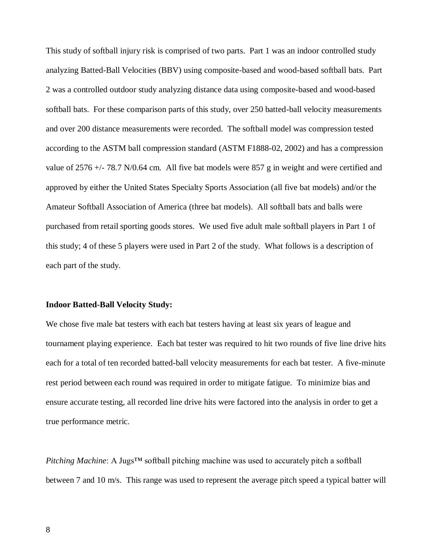This study of softball injury risk is comprised of two parts. Part 1 was an indoor controlled study analyzing Batted-Ball Velocities (BBV) using composite-based and wood-based softball bats. Part 2 was a controlled outdoor study analyzing distance data using composite-based and wood-based softball bats. For these comparison parts of this study, over 250 batted-ball velocity measurements and over 200 distance measurements were recorded. The softball model was compression tested according to the ASTM ball compression standard (ASTM F1888-02, 2002) and has a compression value of  $2576 +/- 78.7$  N/0.64 cm. All five bat models were  $857$  g in weight and were certified and approved by either the United States Specialty Sports Association (all five bat models) and/or the Amateur Softball Association of America (three bat models). All softball bats and balls were purchased from retail sporting goods stores. We used five adult male softball players in Part 1 of this study; 4 of these 5 players were used in Part 2 of the study. What follows is a description of each part of the study.

### **Indoor Batted-Ball Velocity Study:**

We chose five male bat testers with each bat testers having at least six years of league and tournament playing experience. Each bat tester was required to hit two rounds of five line drive hits each for a total of ten recorded batted-ball velocity measurements for each bat tester. A five-minute rest period between each round was required in order to mitigate fatigue. To minimize bias and ensure accurate testing, all recorded line drive hits were factored into the analysis in order to get a true performance metric.

*Pitching Machine*: A Jugs<sup>™</sup> softball pitching machine was used to accurately pitch a softball between 7 and 10 m/s. This range was used to represent the average pitch speed a typical batter will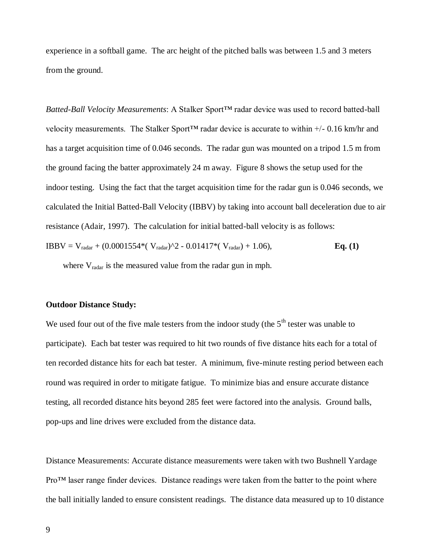experience in a softball game. The arc height of the pitched balls was between 1.5 and 3 meters from the ground.

*Batted-Ball Velocity Measurements*: A Stalker Sport™ radar device was used to record batted-ball velocity measurements. The Stalker Sport<sup>TM</sup> radar device is accurate to within  $+/-0.16$  km/hr and has a target acquisition time of 0.046 seconds. The radar gun was mounted on a tripod 1.5 m from the ground facing the batter approximately 24 m away. Figure 8 shows the setup used for the indoor testing. Using the fact that the target acquisition time for the radar gun is 0.046 seconds, we calculated the Initial Batted-Ball Velocity (IBBV) by taking into account ball deceleration due to air resistance (Adair, 1997). The calculation for initial batted-ball velocity is as follows:

IBBV = V<sub>radar</sub> + (0.0001554<sup>\*</sup>( V<sub>radar</sub>)
$$
\wedge
$$
2 - 0.01417<sup>\*</sup>( V<sub>radar</sub>) + 1.06), **Eq. (1)**

where V<sub>radar</sub> is the measured value from the radar gun in mph.

#### **Outdoor Distance Study:**

We used four out of the five male testers from the indoor study (the  $5<sup>th</sup>$  tester was unable to participate). Each bat tester was required to hit two rounds of five distance hits each for a total of ten recorded distance hits for each bat tester. A minimum, five-minute resting period between each round was required in order to mitigate fatigue. To minimize bias and ensure accurate distance testing, all recorded distance hits beyond 285 feet were factored into the analysis. Ground balls, pop-ups and line drives were excluded from the distance data.

Distance Measurements: Accurate distance measurements were taken with two Bushnell Yardage Pro™ laser range finder devices. Distance readings were taken from the batter to the point where the ball initially landed to ensure consistent readings. The distance data measured up to 10 distance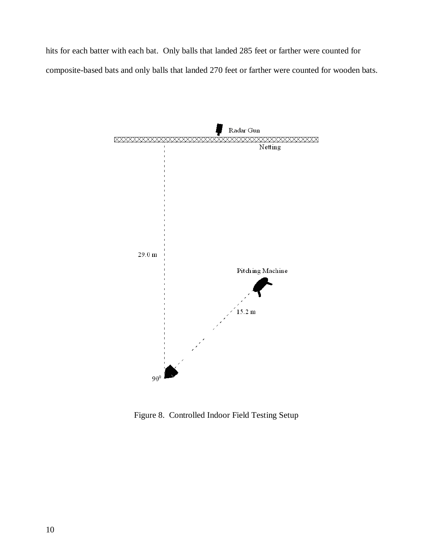hits for each batter with each bat. Only balls that landed 285 feet or farther were counted for composite-based bats and only balls that landed 270 feet or farther were counted for wooden bats.



Figure 8. Controlled Indoor Field Testing Setup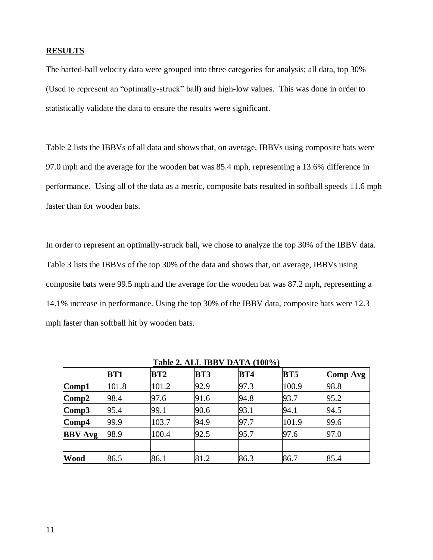### **RESULTS**

The batted-ball velocity data were grouped into three categories for analysis; all data, top 30% (Used to represent an "optimally-struck" ball) and high-low values. This was done in order to statistically validate the data to ensure the results were significant.

Table 2 lists the IBBVs of all data and shows that, on average, IBBVs using composite bats were 97.0 mph and the average for the wooden bat was 85.4 mph, representing a 13.6% difference in performance. Using all of the data as a metric, composite bats resulted in softball speeds 11.6 mph faster than for wooden bats.

In order to represent an optimally-struck ball, we chose to analyze the top 30% of the IBBV data. Table 3 lists the IBBVs of the top 30% of the data and shows that, on average, IBBVs using composite bats were 99.5 mph and the average for the wooden bat was 87.2 mph, representing a 14.1% increase in performance. Using the top 30% of the IBBV data, composite bats were 12.3 mph faster than softball hit by wooden bats.

| Table 2. ALL IDD V DATA (TOO 70) |            |       |            |            |            |          |  |
|----------------------------------|------------|-------|------------|------------|------------|----------|--|
|                                  | <b>BT1</b> | BT2   | <b>BT3</b> | <b>BT4</b> | <b>BT5</b> | Comp Avg |  |
| $\bf Comp1$                      | 101.8      | 101.2 | 92.9       | 97.3       | 100.9      | 98.8     |  |
| $\bf Comp2$                      | 98.4       | 97.6  | 91.6       | 94.8       | 93.7       | 95.2     |  |
| Comp3                            | 95.4       | 99.1  | 90.6       | 93.1       | 94.1       | 94.5     |  |
| $\mathbf{Comp4}$                 | 99.9       | 103.7 | 94.9       | 97.7       | 101.9      | 99.6     |  |
| <b>BBV</b> Avg                   | 98.9       | 100.4 | 92.5       | 95.7       | 97.6       | 97.0     |  |
|                                  |            |       |            |            |            |          |  |
| <b>Wood</b>                      | 86.5       | 86.1  | 81.2       | 86.3       | 86.7       | 85.4     |  |

**Table 2. ALL IBBV DATA (100%)**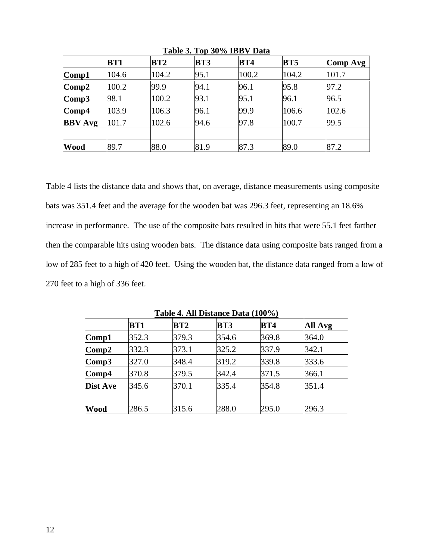|                  | <b>BT1</b> | <b>BT2</b> | <b>BT3</b> | <b>BT4</b> | <b>BT5</b> | Comp Avg |
|------------------|------------|------------|------------|------------|------------|----------|
| $\lfloor$ Comp1  | 104.6      | 104.2      | 95.1       | 100.2      | 104.2      | 101.7    |
| $\bf Comp2$      | 100.2      | 99.9       | 94.1       | 96.1       | 95.8       | 97.2     |
| $\mathbf{Comp3}$ | 98.1       | 100.2      | 93.1       | 95.1       | 96.1       | 96.5     |
| $\mathbf{Comp4}$ | 103.9      | 106.3      | 96.1       | 99.9       | 106.6      | 102.6    |
| <b>BBV</b> Avg   | 101.7      | 102.6      | 94.6       | 97.8       | 100.7      | 99.5     |
|                  |            |            |            |            |            |          |
| <b>Wood</b>      | 89.7       | 88.0       | 81.9       | 87.3       | 89.0       | 87.2     |

**Table 3. Top 30% IBBV Data**

Table 4 lists the distance data and shows that, on average, distance measurements using composite bats was 351.4 feet and the average for the wooden bat was 296.3 feet, representing an 18.6% increase in performance. The use of the composite bats resulted in hits that were 55.1 feet farther then the comparable hits using wooden bats. The distance data using composite bats ranged from a low of 285 feet to a high of 420 feet. Using the wooden bat, the distance data ranged from a low of 270 feet to a high of 336 feet.

|          | <b>BT1</b> | BT2   | <b>BT3</b> | <b>BT4</b> | All Avg |
|----------|------------|-------|------------|------------|---------|
| Comp1    | 352.3      | 379.3 | 354.6      | 369.8      | 364.0   |
| Comp2    | 332.3      | 373.1 | 325.2      | 337.9      | 342.1   |
| Comp3    | 327.0      | 348.4 | 319.2      | 339.8      | 333.6   |
| Comp4    | 370.8      | 379.5 | 342.4      | 371.5      | 366.1   |
| Dist Ave | 345.6      | 370.1 | 335.4      | 354.8      | 351.4   |
|          |            |       |            |            |         |
| Wood     | 286.5      | 315.6 | 288.0      | 295.0      | 296.3   |

**Table 4. All Distance Data (100%)**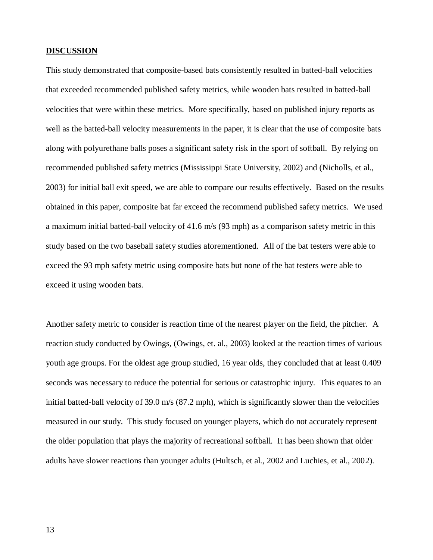### **DISCUSSION**

This study demonstrated that composite-based bats consistently resulted in batted-ball velocities that exceeded recommended published safety metrics, while wooden bats resulted in batted-ball velocities that were within these metrics. More specifically, based on published injury reports as well as the batted-ball velocity measurements in the paper, it is clear that the use of composite bats along with polyurethane balls poses a significant safety risk in the sport of softball. By relying on recommended published safety metrics (Mississippi State University, 2002) and (Nicholls, et al., 2003) for initial ball exit speed, we are able to compare our results effectively. Based on the results obtained in this paper, composite bat far exceed the recommend published safety metrics. We used a maximum initial batted-ball velocity of 41.6 m/s (93 mph) as a comparison safety metric in this study based on the two baseball safety studies aforementioned. All of the bat testers were able to exceed the 93 mph safety metric using composite bats but none of the bat testers were able to exceed it using wooden bats.

Another safety metric to consider is reaction time of the nearest player on the field, the pitcher. A reaction study conducted by Owings, (Owings, et. al., 2003) looked at the reaction times of various youth age groups. For the oldest age group studied, 16 year olds, they concluded that at least 0.409 seconds was necessary to reduce the potential for serious or catastrophic injury. This equates to an initial batted-ball velocity of 39.0 m/s (87.2 mph), which is significantly slower than the velocities measured in our study. This study focused on younger players, which do not accurately represent the older population that plays the majority of recreational softball. It has been shown that older adults have slower reactions than younger adults (Hultsch, et al., 2002 and Luchies, et al., 2002).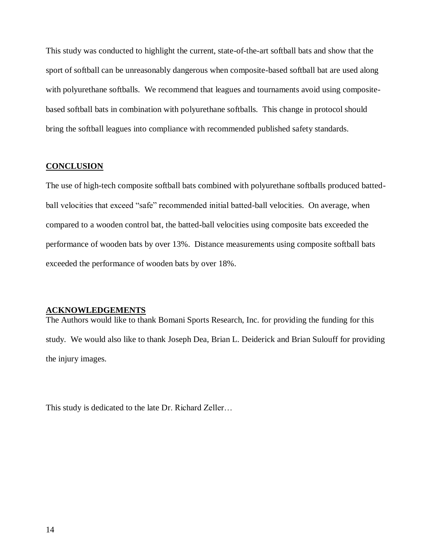This study was conducted to highlight the current, state-of-the-art softball bats and show that the sport of softball can be unreasonably dangerous when composite-based softball bat are used along with polyurethane softballs. We recommend that leagues and tournaments avoid using compositebased softball bats in combination with polyurethane softballs. This change in protocol should bring the softball leagues into compliance with recommended published safety standards.

#### **CONCLUSION**

The use of high-tech composite softball bats combined with polyurethane softballs produced battedball velocities that exceed "safe" recommended initial batted-ball velocities. On average, when compared to a wooden control bat, the batted-ball velocities using composite bats exceeded the performance of wooden bats by over 13%. Distance measurements using composite softball bats exceeded the performance of wooden bats by over 18%.

#### **ACKNOWLEDGEMENTS**

The Authors would like to thank Bomani Sports Research, Inc. for providing the funding for this study. We would also like to thank Joseph Dea, Brian L. Deiderick and Brian Sulouff for providing the injury images.

This study is dedicated to the late Dr. Richard Zeller…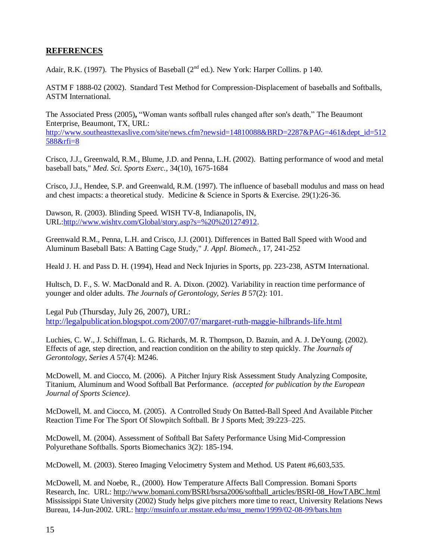## **REFERENCES**

Adair, R.K. (1997). The Physics of Baseball ( $2<sup>nd</sup>$  ed.). New York: Harper Collins. p 140.

ASTM F 1888-02 (2002). Standard Test Method for Compression-Displacement of baseballs and Softballs, ASTM International.

The Associated Press (2005)**,** "Woman wants softball rules changed after son's death," The Beaumont Enterprise, Beaumont, TX, URL: [http://www.southeasttexaslive.com/site/news.cfm?newsid=14810088&BRD=2287&PAG=461&dept\\_id=512](http://www.southeasttexaslive.com/site/news.cfm?newsid=14810088&BRD=2287&PAG=461&dept_id=512588&rfi=8) [588&rfi=8](http://www.southeasttexaslive.com/site/news.cfm?newsid=14810088&BRD=2287&PAG=461&dept_id=512588&rfi=8)

Crisco, J.J., Greenwald, R.M., Blume, J.D. and Penna, L.H. (2002). Batting performance of wood and metal baseball bats," *Med. Sci. Sports Exerc.*, 34(10), 1675-1684

Crisco, J.J., Hendee, S.P. and Greenwald, R.M. (1997). The influence of baseball modulus and mass on head and chest impacts: a theoretical study.Medicine & Science in Sports & Exercise. 29(1):26-36.

Dawson, R. (2003). Blinding Speed. WISH TV-8, Indianapolis, IN, URL[:http://www.wishtv.com/Global/story.asp?s=%20%201274912.](http://www.wishtv.com/Global/story.asp?s=%20%201274912)

Greenwald R.M., Penna, L.H. and Crisco, J.J. (2001). Differences in Batted Ball Speed with Wood and Aluminum Baseball Bats: A Batting Cage Study," *J. Appl. Biomech.*, 17, 241-252

Heald J. H. and Pass D. H. (1994), Head and Neck Injuries in Sports, pp. 223-238, ASTM International.

Hultsch, D. F., S. W. MacDonald and R. A. Dixon. (2002). Variability in reaction time performance of younger and older adults. *The Journals of Gerontology, Series B* 57(2): 101.

Legal Pub (Thursday, July 26, 2007), URL: <http://legalpublication.blogspot.com/2007/07/margaret-ruth-maggie-hilbrands-life.html>

Luchies, C. W., J. Schiffman, L. G. Richards, M. R. Thompson, D. Bazuin, and A. J. DeYoung. (2002). Effects of age, step direction, and reaction condition on the ability to step quickly. *The Journals of Gerontology, Series A* 57(4): M246.

McDowell, M. and Ciocco, M. (2006). A Pitcher Injury Risk Assessment Study Analyzing Composite, Titanium, Aluminum and Wood Softball Bat Performance. *(accepted for publication by the European Journal of Sports Science)*.

McDowell, M. and Ciocco, M. (2005). A Controlled Study On Batted-Ball Speed And Available Pitcher Reaction Time For The Sport Of Slowpitch Softball. Br J Sports Med; 39:223–225.

McDowell, M. (2004). Assessment of Softball Bat Safety Performance Using Mid-Compression Polyurethane Softballs. Sports Biomechanics 3(2): 185-194.

McDowell, M. (2003). Stereo Imaging Velocimetry System and Method. US Patent #6,603,535.

McDowell, M. and Noebe, R., (2000). How Temperature Affects Ball Compression. Bomani Sports Research, Inc. URL: http://www.bomani.com/BSRI/bsrsa2006/softball\_articles/BSRI-08\_HowTABC.html Mississippi State University (2002) Study helps give pitchers more time to react, University Relations News Bureau, 14-Jun-2002. URL: [http://msuinfo.ur.msstate.edu/msu\\_memo/1999/02-08-99/bats.htm](http://msuinfo.ur.msstate.edu/msu_memo/1999/02-08-99/bats.htm)